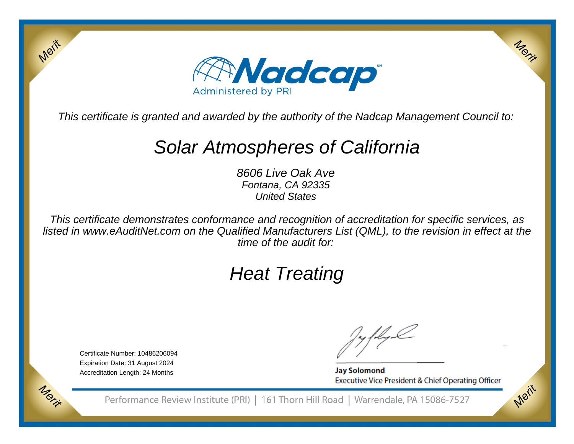

This certificate is granted and awarded by the authority of the Nadcap Management Council to:

# Solar Atmospheres of California

8606 Live Oak Ave Fontana, CA 92335United States

This certificate demonstrates conformance and recognition of accreditation for specific services, as listed in www.eAuditNet.com on the Qualified Manufacturers List (QML), to the revision in effect at thetime of the audit for:

# Heat Treating

Certificate Number: 10486206094 Expiration Date: 31 August 2024Accreditation Length: 24 Months

Merit

Morie

**Jay Solomond** Executive Vice President & Chief Operating Officer Merit

Merit

Performance Review Institute (PRI) | 161 Thorn Hill Road | Warrendale, PA 15086-7527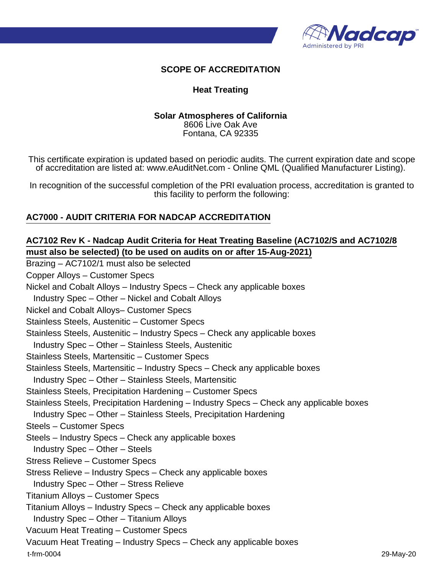

#### **SCOPE OF ACCREDITATION**

#### **Heat Treating**

# **Solar Atmospheres of California**

8606 Live Oak Ave Fontana, CA 92335

This certificate expiration is updated based on periodic audits. The current expiration date and scope of accreditation are listed at: www.eAuditNet.com - Online QML (Qualified Manufacturer Listing).

In recognition of the successful completion of the PRI evaluation process, accreditation is granted to this facility to perform the following:

#### **AC7000 - AUDIT CRITERIA FOR NADCAP ACCREDITATION**

## **AC7102 Rev K - Nadcap Audit Criteria for Heat Treating Baseline (AC7102/S and AC7102/8 must also be selected) (to be used on audits on or after 15-Aug-2021)**

Brazing – AC7102/1 must also be selected Copper Alloys – Customer Specs Nickel and Cobalt Alloys – Industry Specs – Check any applicable boxes Industry Spec – Other – Nickel and Cobalt Alloys Nickel and Cobalt Alloys– Customer Specs Stainless Steels, Austenitic – Customer Specs Stainless Steels, Austenitic – Industry Specs – Check any applicable boxes Industry Spec – Other – Stainless Steels, Austenitic Stainless Steels, Martensitic – Customer Specs Stainless Steels, Martensitic – Industry Specs – Check any applicable boxes Industry Spec – Other – Stainless Steels, Martensitic Stainless Steels, Precipitation Hardening – Customer Specs Stainless Steels, Precipitation Hardening – Industry Specs – Check any applicable boxes Industry Spec – Other – Stainless Steels, Precipitation Hardening Steels – Customer Specs Steels – Industry Specs – Check any applicable boxes Industry Spec – Other – Steels Stress Relieve – Customer Specs Stress Relieve – Industry Specs – Check any applicable boxes Industry Spec – Other – Stress Relieve Titanium Alloys – Customer Specs Titanium Alloys – Industry Specs – Check any applicable boxes Industry Spec – Other – Titanium Alloys Vacuum Heat Treating – Customer Specs Vacuum Heat Treating – Industry Specs – Check any applicable boxes t-frm-0004 29-May-20